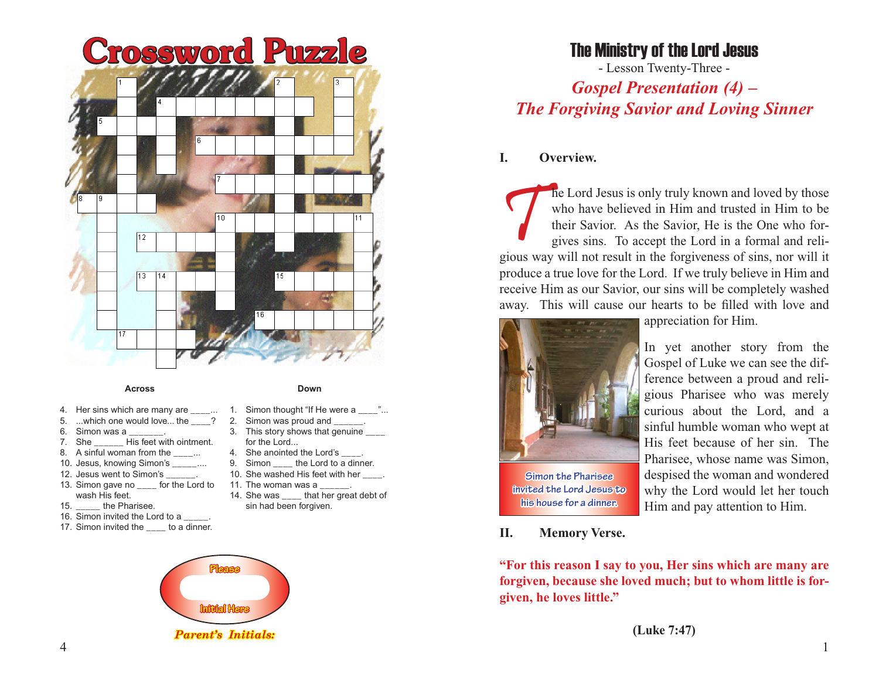

#### **Across**

- 4. Her sins which are many are \_\_\_\_...
- 5. ...which one would love... the \_\_\_\_?
- 6. Simon was a  $_{-}$ <br>7. She Hi
- His feet with ointment.
- 8. A sinful woman from the  $\ldots$
- 10. Jesus, knowing Simon's ....
- 12. Jesus went to Simon's \_\_\_\_\_\_.
- 13. Simon gave no \_\_\_\_ for the Lord to wash His feet.
- 15. **the Pharisee.**
- 16. Simon invited the Lord to a ...
- 17. Simon invited the to a dinner.



- **Down**
- 1. Simon thought "If He were a
- 2. Simon was proud and
- 3. This story shows that genuine \_\_\_\_ for the Lord...
- 4. She anointed the Lord's \_\_.<br>9. Simon the Lord to a
- the Lord to a dinner.
- 10. She washed His feet with her \_\_\_\_.
- 11. The woman was a 14. She was that her great debt of
	- sin had been forgiven.



**Simon the Pharisee invited the Lord Jesus to his house for a dinner.**

**I. Overview.**

appreciation for Him.

who have believed in Him and trusted in Him to be their Savior. As the Savior, He is the One who forgives sins. To accept the Lord in a formal and reli-

The Lord Jesus is only truly known and loved by those who have believed in Him and trusted in Him to be their Savior. As the Savior, He is the One who forgiveness sins. To accept the Lord in a formal and religious way will

- Lesson Twenty-Three - *Gospel Presentation (4) – The Forgiving Savior and Loving Sinner*

The Ministry of the Lord Jesus

produce a true love for the Lord. If we truly believe in Him and receive Him as our Savior, our sins will be completely washed away. This will cause our hearts to be filled with love and

> In yet another story from the Gospel of Luke we can see the difference between a proud and religious Pharisee who was merely curious about the Lord, and a sinful humble woman who wept at His feet because of her sin. The Pharisee, whose name was Simon, despised the woman and wondered why the Lord would let her touch Him and pay attention to Him.

## **II. Memory Verse.**

**"For this reason I say to you, Her sins which are many are forgiven, because she loved much; but to whom little is forgiven, he loves little."**

**(Luke 7:47)**